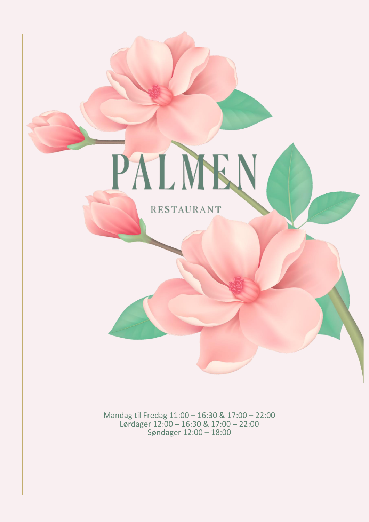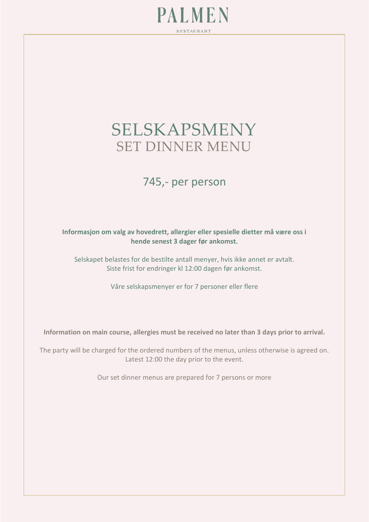

# SELSKAPSMENY SET DINNER MENU

# 745,- per person

#### **Informasjon om valg av hovedrett, allergier eller spesielle dietter må være oss i hende senest 3 dager før ankomst.**

Selskapet belastes for de bestilte antall menyer, hvis ikke annet er avtalt. Siste frist for endringer kl 12:00 dagen før ankomst.

Våre selskapsmenyer er for 7 personer eller flere

**Information on main course, allergies must be received no later than 3 days prior to arrival.**

The party will be charged for the ordered numbers of the menus, unless otherwise is agreed on. Latest 12:00 the day prior to the event.

Our set dinner menus are prepared for 7 persons or more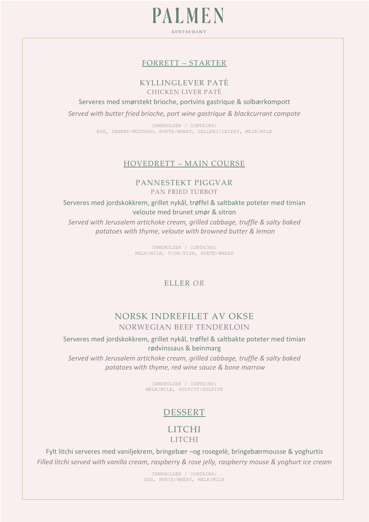**PALMEN** RESTAURANT

#### FORRETT – STARTER

# KYLLINGLEVER PATÈ

CHICKEN LIVER PATÈ

Serveres med smørstekt brioche, portvins gastrique & solbærkompott

*Served with butter fried brioche, port wine gastrique & blackcurrant compote*

INNEHOLDER / CONTAINS: EGG, SENNEP/MUSTARD, HVETE/WHEAT, SELLERI/CELERY, MELK/MILK

#### HOVEDRETT – MAIN COURSE

#### PANNESTEKT PIGGVAR PAN FRIED TURBOT

Serveres med jordskokkrem, grillet nykål, trøffel & saltbakte poteter med timian veloute med brunet smør & sitron

*Served with Jerusalem artichoke cream, grilled cabbage, truffle & salty baked potatoes with thyme, veloute with browned butter & lemon*

> INNEHOLDER / CONTAINS: MELK/MILK, FISK/FISH, HVETE/WHEAT

## ELLER *OR*

## NORSK INDREFILET AV OKSE NORWEGIAN BEEF TENDERLOIN

Serveres med jordskokkrem, grillet nykål, trøffel & saltbakte poteter med timian rødvinssaus & beinmarg

*Served with Jerusalem artichoke cream, grilled cabbage, truffle & salty baked potatoes with thyme, red wine sauce & bone marrow*

> INNEHOLDER / CONTAINS: MELK/MILK, SULFITT/SULFITE

# DESSERT

# LITCHI

LITCHI

Fylt litchi serveres med vaniljekrem, bringebær –og rosegelè, bringebærmousse & yoghurtis *Filled litchi served with vanilla cream, raspberry & rose jelly, raspberry mouse & yoghurt ice cream*

> INNEHOLDER / CONTAINS: EGG, HVETE/WHEAT, MELK/MILK